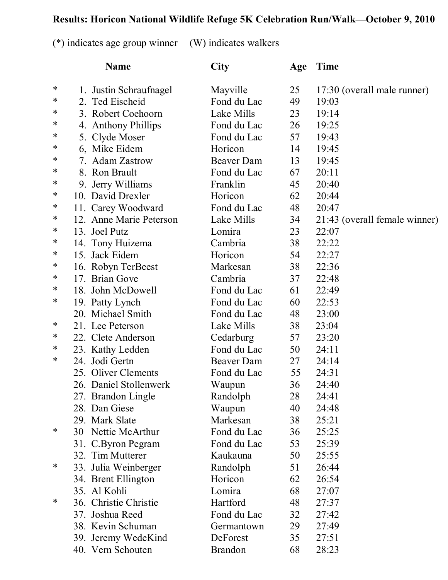## **Results: Horicon National Wildlife Refuge 5K Celebration Run/Walk—October 9, 2010**

(\*) indicates age group winner (W) indicates walkers

|   | <b>Name</b>             | City           | Age | <b>Time</b>                   |
|---|-------------------------|----------------|-----|-------------------------------|
| ∗ | 1. Justin Schraufnagel  | Mayville       | 25  | 17:30 (overall male runner)   |
| ∗ | 2. Ted Eischeid         | Fond du Lac    | 49  | 19:03                         |
| * | 3. Robert Coehoorn      | Lake Mills     | 23  | 19:14                         |
| ∗ | 4. Anthony Phillips     | Fond du Lac    | 26  | 19:25                         |
| ∗ | 5. Clyde Moser          | Fond du Lac    | 57  | 19:43                         |
| * | 6, Mike Eidem           | Horicon        | 14  | 19:45                         |
| ∗ | 7. Adam Zastrow         | Beaver Dam     | 13  | 19:45                         |
| ∗ | 8. Ron Brault           | Fond du Lac    | 67  | 20:11                         |
| ∗ | 9. Jerry Williams       | Franklin       | 45  | 20:40                         |
| ∗ | 10. David Drexler       | Horicon        | 62  | 20:44                         |
| ∗ | 11. Carey Woodward      | Fond du Lac    | 48  | 20:47                         |
| ∗ | 12. Anne Marie Peterson | Lake Mills     | 34  | 21:43 (overall female winner) |
| ∗ | 13. Joel Putz           | Lomira         | 23  | 22:07                         |
| ∗ | 14. Tony Huizema        | Cambria        | 38  | 22:22                         |
| ∗ | 15. Jack Eidem          | Horicon        | 54  | 22:27                         |
| ∗ | 16. Robyn TerBeest      | Markesan       | 38  | 22:36                         |
| ∗ | 17. Brian Gove          | Cambria        | 37  | 22:48                         |
| ∗ | 18. John McDowell       | Fond du Lac    | 61  | 22:49                         |
| ∗ | 19. Patty Lynch         | Fond du Lac    | 60  | 22:53                         |
|   | 20. Michael Smith       | Fond du Lac    | 48  | 23:00                         |
| ∗ | 21. Lee Peterson        | Lake Mills     | 38  | 23:04                         |
| ∗ | 22. Clete Anderson      | Cedarburg      | 57  | 23:20                         |
| ∗ | 23. Kathy Ledden        | Fond du Lac    | 50  | 24:11                         |
| ∗ | 24. Jodi Gertn          | Beaver Dam     | 27  | 24:14                         |
|   | 25. Oliver Clements     | Fond du Lac    | 55  | 24:31                         |
|   | 26. Daniel Stollenwerk  | Waupun         | 36  | 24:40                         |
|   | 27. Brandon Lingle      | Randolph       | 28  | 24:41                         |
|   | 28. Dan Giese           | Waupun         | 40  | 24:48                         |
|   | 29. Mark Slate          | Markesan       | 38  | 25:21                         |
| ∗ | Nettie McArthur<br>30   | Fond du Lac    | 36  | 25:25                         |
|   | 31. C.Byron Pegram      | Fond du Lac    | 53  | 25:39                         |
|   | 32. Tim Mutterer        | Kaukauna       | 50  | 25:55                         |
| ∗ | 33. Julia Weinberger    | Randolph       | 51  | 26:44                         |
|   | 34. Brent Ellington     | Horicon        | 62  | 26:54                         |
|   | 35. Al Kohli            | Lomira         | 68  | 27:07                         |
| ∗ | 36. Christie Christie   | Hartford       | 48  | 27:37                         |
|   | 37. Joshua Reed         | Fond du Lac    | 32  | 27:42                         |
|   | 38. Kevin Schuman       | Germantown     | 29  | 27:49                         |
|   | 39. Jeremy WedeKind     | DeForest       | 35  | 27:51                         |
|   | 40. Vern Schouten       | <b>Brandon</b> | 68  | 28:23                         |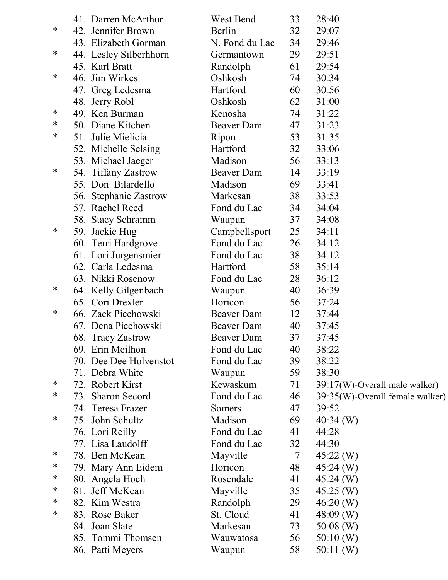|   | 41. Darren McArthur    | West Bend         | 33 | 28:40                           |
|---|------------------------|-------------------|----|---------------------------------|
| ∗ | 42. Jennifer Brown     | Berlin            | 32 | 29:07                           |
|   | 43. Elizabeth Gorman   | N. Fond du Lac    | 34 | 29:46                           |
| ∗ | 44. Lesley Silberhhorn | Germantown        | 29 | 29:51                           |
|   | 45. Karl Bratt         | Randolph          | 61 | 29:54                           |
| ∗ | 46. Jim Wirkes         | Oshkosh           | 74 | 30:34                           |
|   | 47. Greg Ledesma       | Hartford          | 60 | 30:56                           |
|   | 48. Jerry Robl         | Oshkosh           | 62 | 31:00                           |
| ∗ | 49. Ken Burman         | Kenosha           | 74 | 31:22                           |
| ∗ | 50. Diane Kitchen      | Beaver Dam        | 47 | 31:23                           |
| ∗ | 51. Julie Mielicia     | Ripon             | 53 | 31:35                           |
|   | 52. Michelle Selsing   | Hartford          | 32 | 33:06                           |
|   | 53. Michael Jaeger     | Madison           | 56 | 33:13                           |
| ∗ | 54. Tiffany Zastrow    | <b>Beaver Dam</b> | 14 | 33:19                           |
|   | 55. Don Bilardello     | Madison           | 69 | 33:41                           |
|   | 56. Stephanie Zastrow  | Markesan          | 38 | 33:53                           |
|   | 57. Rachel Reed        | Fond du Lac       | 34 | 34:04                           |
|   | 58. Stacy Schramm      | Waupun            | 37 | 34:08                           |
| ∗ | 59. Jackie Hug         | Campbellsport     | 25 | 34:11                           |
|   | 60. Terri Hardgrove    | Fond du Lac       | 26 | 34:12                           |
|   | 61. Lori Jurgensmier   | Fond du Lac       | 38 | 34:12                           |
|   | 62. Carla Ledesma      | Hartford          | 58 | 35:14                           |
|   | 63. Nikki Rosenow      | Fond du Lac       | 28 | 36:12                           |
| ∗ | 64. Kelly Gilgenbach   | Waupun            | 40 | 36:39                           |
|   | 65. Cori Drexler       | Horicon           | 56 | 37:24                           |
| ∗ | 66. Zack Piechowski    | Beaver Dam        | 12 | 37:44                           |
|   | 67. Dena Piechowski    | Beaver Dam        | 40 | 37:45                           |
|   | 68. Tracy Zastrow      | <b>Beaver Dam</b> | 37 | 37:45                           |
|   | 69. Erin Meilhon       | Fond du Lac       | 40 | 38:22                           |
|   | 70. Dee Dee Holvenstot | Fond du Lac       | 39 | 38:22                           |
|   | 71. Debra White        | Waupun            | 59 | 38:30                           |
| ∗ | 72. Robert Kirst       | Kewaskum          | 71 | 39:17(W)-Overall male walker)   |
| ∗ | 73. Sharon Secord      | Fond du Lac       | 46 | 39:35(W)-Overall female walker) |
|   | 74. Teresa Frazer      | Somers            | 47 | 39:52                           |
| ∗ | 75. John Schultz       | Madison           | 69 | $40:34$ (W)                     |
|   | 76. Lori Reilly        | Fond du Lac       | 41 | 44:28                           |
|   | 77. Lisa Laudolff      | Fond du Lac       | 32 | 44:30                           |
| ∗ | 78. Ben McKean         | Mayville          | 7  | $45:22 \, (W)$                  |
| ∗ | 79. Mary Ann Eidem     | Horicon           | 48 | $45:24 \, (W)$                  |
| ∗ | 80. Angela Hoch        | Rosendale         | 41 | $45:24 \; (W)$                  |
| ∗ | 81. Jeff McKean        | Mayville          | 35 | $45:25$ (W)                     |
| ∗ | 82. Kim Westra         | Randolph          | 29 | 46:20(W)                        |
| ∗ | 83. Rose Baker         | St, Cloud         | 41 | $48:09$ (W)                     |
|   | 84. Joan Slate         | Markesan          | 73 | $50:08$ (W)                     |
|   | 85. Tommi Thomsen      | Wauwatosa         | 56 | 50:10(W)                        |
|   | 86. Patti Meyers       | Waupun            | 58 | 50:11(W)                        |